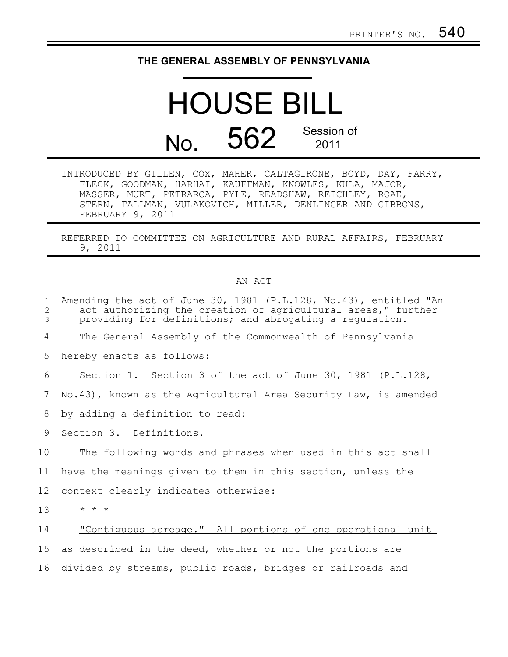## **THE GENERAL ASSEMBLY OF PENNSYLVANIA**

## HOUSE BILL No. 562 Session of 2011

INTRODUCED BY GILLEN, COX, MAHER, CALTAGIRONE, BOYD, DAY, FARRY, FLECK, GOODMAN, HARHAI, KAUFFMAN, KNOWLES, KULA, MAJOR, MASSER, MURT, PETRARCA, PYLE, READSHAW, REICHLEY, ROAE, STERN, TALLMAN, VULAKOVICH, MILLER, DENLINGER AND GIBBONS, FEBRUARY 9, 2011

REFERRED TO COMMITTEE ON AGRICULTURE AND RURAL AFFAIRS, FEBRUARY 9, 2011

## AN ACT

| $\mathbf{1}$<br>2<br>3 | Amending the act of June 30, 1981 (P.L.128, No.43), entitled "An<br>act authorizing the creation of agricultural areas," further<br>providing for definitions; and abrogating a regulation. |
|------------------------|---------------------------------------------------------------------------------------------------------------------------------------------------------------------------------------------|
| 4                      | The General Assembly of the Commonwealth of Pennsylvania                                                                                                                                    |
| 5                      | hereby enacts as follows:                                                                                                                                                                   |
| 6                      | Section 1. Section 3 of the act of June 30, 1981 (P.L.128,                                                                                                                                  |
| 7                      | No.43), known as the Agricultural Area Security Law, is amended                                                                                                                             |
| 8                      | by adding a definition to read:                                                                                                                                                             |
| 9                      | Section 3. Definitions.                                                                                                                                                                     |
| 10                     | The following words and phrases when used in this act shall                                                                                                                                 |
| 11                     | have the meanings given to them in this section, unless the                                                                                                                                 |
| 12 <sup>°</sup>        | context clearly indicates otherwise:                                                                                                                                                        |
| 13                     | $\star$ $\star$ $\star$                                                                                                                                                                     |
| 14                     | "Contiquous acreage." All portions of one operational unit                                                                                                                                  |
| 15                     | as described in the deed, whether or not the portions are                                                                                                                                   |
| 16                     | divided by streams, public roads, bridges or railroads and                                                                                                                                  |